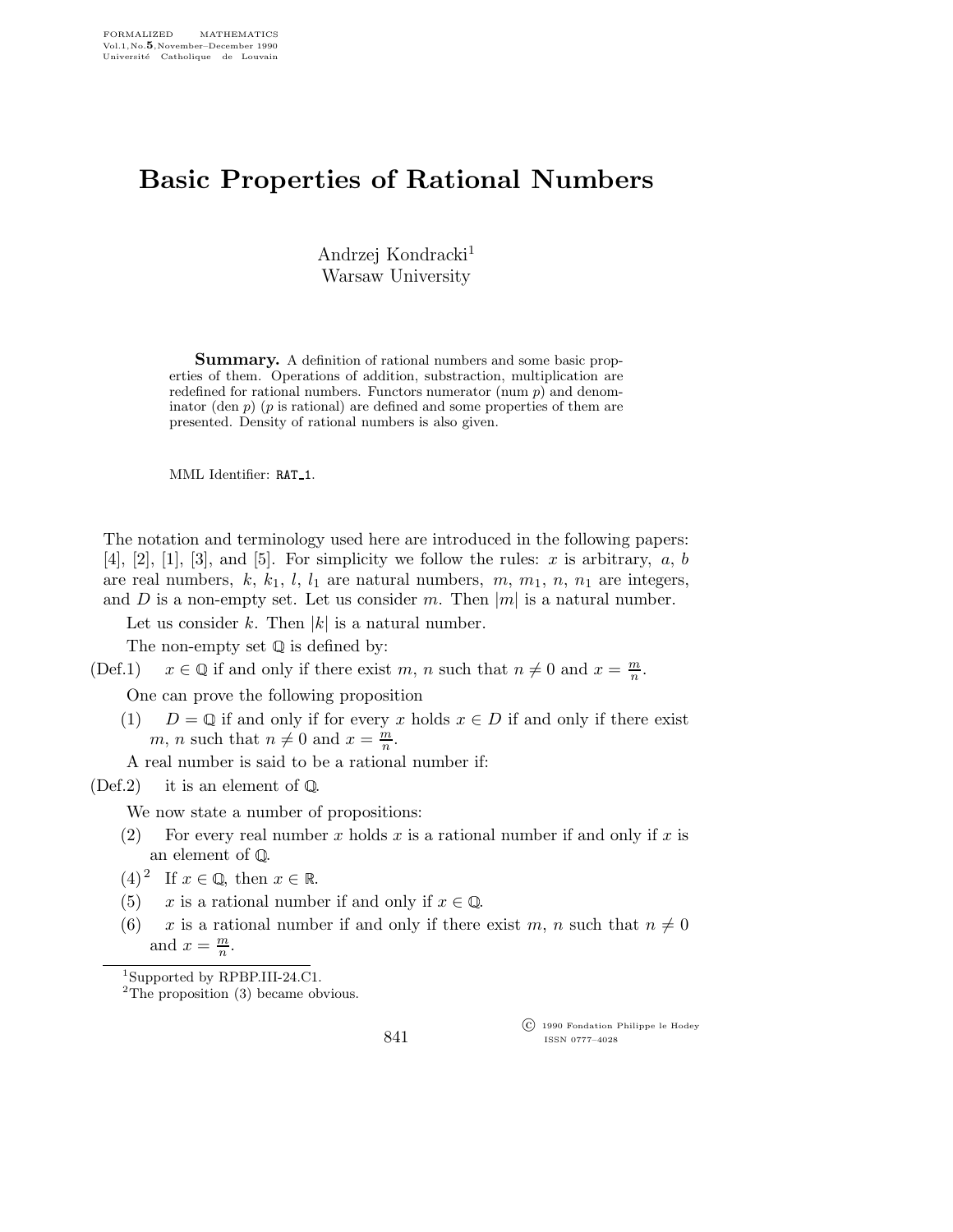## Basic Properties of Rational Numbers

Andrzej Kondracki<sup>1</sup> Warsaw University

**Summary.** A definition of rational numbers and some basic properties of them. Operations of addition, substraction, multiplication are redefined for rational numbers. Functors numerator (num  $p$ ) and denominator (den  $p$ ) ( $p$  is rational) are defined and some properties of them are presented. Density of rational numbers is also given.

MML Identifier: RAT 1.

The notation and terminology used here are introduced in the following papers:  $[4]$ ,  $[2]$ ,  $[1]$ ,  $[3]$ , and  $[5]$ . For simplicity we follow the rules: x is arbitrary, a, b are real numbers,  $k, k_1, l, l_1$  are natural numbers,  $m, m_1, n, n_1$  are integers, and D is a non-empty set. Let us consider m. Then  $|m|$  is a natural number.

Let us consider k. Then  $|k|$  is a natural number.

The non-empty set  $\mathbb Q$  is defined by:

(Def.1)  $x \in \mathbb{Q}$  if and only if there exist m, n such that  $n \neq 0$  and  $x = \frac{m}{n}$  $\frac{m}{n}$  .

One can prove the following proposition

(1)  $D = \mathbb{Q}$  if and only if for every x holds  $x \in D$  if and only if there exist m, n such that  $n \neq 0$  and  $x = \frac{m}{n}$  $\frac{m}{n}$ .

A real number is said to be a rational number if:

 $(Def.2)$  it is an element of  $\mathbb{Q}$ .

We now state a number of propositions:

- (2) For every real number x holds x is a rational number if and only if x is an element of  $\mathbb Q.$
- $(4)^2$  If  $x \in \mathbb{Q}$ , then  $x \in \mathbb{R}$ .
- (5) x is a rational number if and only if  $x \in \mathbb{Q}$ .
- (6) x is a rational number if and only if there exist m, n such that  $n \neq 0$ and  $x = \frac{m}{n}$  $\frac{m}{n}$ .

 ${}^{2}$ The proposition (3) became obvious.

 c 1990 Fondation Philippe le Hodey ISSN 0777–4028

<sup>1</sup>Supported by RPBP.III-24.C1.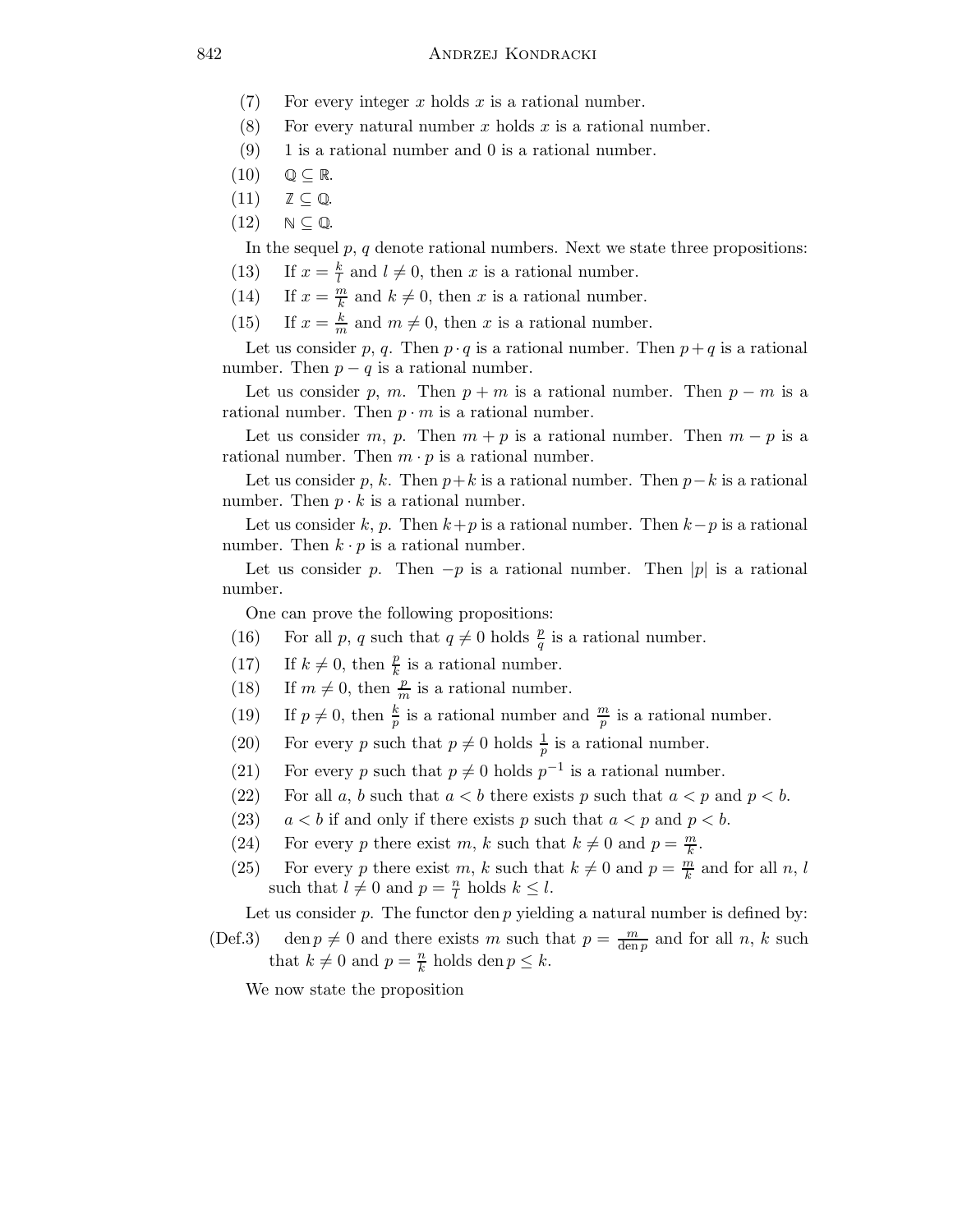- (7) For every integer x holds x is a rational number.
- (8) For every natural number x holds x is a rational number.
- (9) 1 is a rational number and 0 is a rational number.
- $(10)$   $\mathbb{Q} \subseteq \mathbb{R}$ .
- $(11)$   $\mathbb{Z} \subset \mathbb{Q}$ .
- $(12) \quad N \subseteq \mathbb{Q}$ .

In the sequel  $p, q$  denote rational numbers. Next we state three propositions:

- (13) If  $x = \frac{k}{l}$  $\frac{k}{l}$  and  $l \neq 0$ , then x is a rational number.
- (14) If  $x = \frac{m}{k}$  $\frac{m}{k}$  and  $k \neq 0$ , then x is a rational number.
- (15) If  $x = \frac{k}{m}$  and  $m \neq 0$ , then x is a rational number.

Let us consider p, q. Then  $p \cdot q$  is a rational number. Then  $p + q$  is a rational number. Then  $p - q$  is a rational number.

Let us consider p, m. Then  $p + m$  is a rational number. Then  $p - m$  is a rational number. Then  $p \cdot m$  is a rational number.

Let us consider m, p. Then  $m + p$  is a rational number. Then  $m - p$  is a rational number. Then  $m \cdot p$  is a rational number.

Let us consider p, k. Then  $p+k$  is a rational number. Then  $p-k$  is a rational number. Then  $p \cdot k$  is a rational number.

Let us consider k, p. Then  $k+p$  is a rational number. Then  $k-p$  is a rational number. Then  $k \cdot p$  is a rational number.

Let us consider p. Then  $-p$  is a rational number. Then |p| is a rational number.

One can prove the following propositions:

- (16) For all p, q such that  $q \neq 0$  holds  $\frac{p}{q}$  is a rational number.
- (17) If  $k \neq 0$ , then  $\frac{p}{k}$  is a rational number.
- (18) If  $m \neq 0$ , then  $\frac{p}{m}$  is a rational number.
- (19) If  $p \neq 0$ , then  $\frac{k}{p}$  is a rational number and  $\frac{m}{p}$  is a rational number.
- (20) For every p such that  $p \neq 0$  holds  $\frac{1}{p}$  is a rational number.
- (21) For every p such that  $p \neq 0$  holds  $p^{-1}$  is a rational number.
- (22) For all a, b such that  $a < b$  there exists p such that  $a < p$  and  $p < b$ .
- (23)  $a < b$  if and only if there exists p such that  $a < p$  and  $p < b$ .
- (24) For every p there exist m, k such that  $k \neq 0$  and  $p = \frac{m}{k}$  $\frac{m}{k}$  .
- (25) For every p there exist m, k such that  $k \neq 0$  and  $p = \frac{m}{k}$  $\frac{m}{k}$  and for all  $n, l$ such that  $l \neq 0$  and  $p = \frac{n}{l}$  $\frac{n}{l}$  holds  $k \leq l$ .

Let us consider  $p$ . The functor den  $p$  yielding a natural number is defined by:

(Def.3) den  $p \neq 0$  and there exists m such that  $p = \frac{m}{\text{den }p}$  and for all n, k such that  $k \neq 0$  and  $p = \frac{n}{k}$  $\frac{n}{k}$  holds den  $p \leq k$ .

We now state the proposition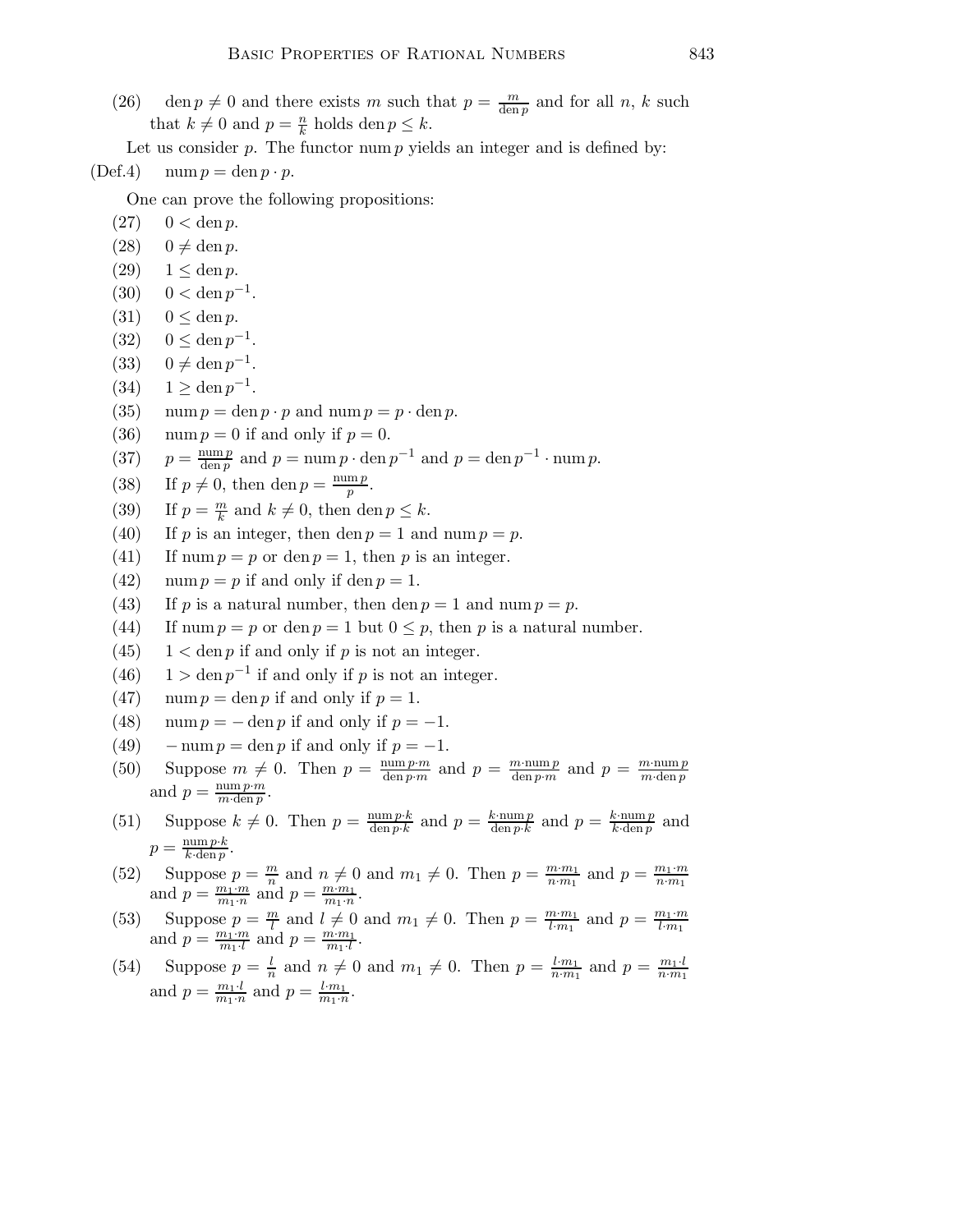(26) den  $p \neq 0$  and there exists m such that  $p = \frac{m}{\text{den }p}$  and for all n, k such that  $k \neq 0$  and  $p = \frac{n}{k}$  holds den  $p \leq k$ .

Let us consider  $p$ . The functor num  $p$  yields an integer and is defined by:

$$
(\text{Def.4}) \quad \text{num } p = \text{den } p \cdot p.
$$

One can prove the following propositions:

- $(27)$  0 < den p.
- $(28)$  0  $\neq$  den p.
- (29)  $1 < \text{den } p$ .
- (30)  $0 < \text{den } p^{-1}$ .
- (31)  $0 \leq \text{den } p$ .
- (32)  $0 \leq \text{den } p^{-1}$ .
- (33)  $0 \neq \text{den } p^{-1}$ .
- (34)  $1 \ge \text{den } p^{-1}$ .
- (35) num  $p = \text{den } p \cdot p$  and num  $p = p \cdot \text{den } p$ .
- (36) num  $p = 0$  if and only if  $p = 0$ .
- $(37)$ num p  $\frac{\text{num } p}{\text{den } p}$  and  $p = \text{num } p \cdot \text{den } p^{-1}$  and  $p = \text{den } p^{-1} \cdot \text{num } p$ .
- (38) If  $p \neq 0$ , then den  $p = \frac{\text{num } p}{n}$  $\frac{\mathrm{m}\,p}{p}$ .
- (39) If  $p = \frac{m}{k}$  $\frac{m}{k}$  and  $k \neq 0$ , then den  $p \leq k$ .
- (40) If p is an integer, then den  $p = 1$  and num  $p = p$ .
- (41) If num  $p = p$  or den  $p = 1$ , then p is an integer.
- (42) num  $p = p$  if and only if den  $p = 1$ .
- (43) If p is a natural number, then den  $p = 1$  and num  $p = p$ .
- (44) If num  $p = p$  or den  $p = 1$  but  $0 \leq p$ , then p is a natural number.
- (45)  $1 < \text{den } p$  if and only if p is not an integer.
- (46)  $1 > \text{den } p^{-1}$  if and only if p is not an integer.
- (47) num  $p = \text{den } p$  if and only if  $p = 1$ .
- (48) num  $p = -$  den p if and only if  $p = -1$ .
- (49) num  $p = \text{den } p$  if and only if  $p = -1$ .
- (50) Suppose  $m \neq 0$ . Then  $p = \frac{\text{num } p \cdot m}{\text{den } n \cdot m}$  $\frac{\text{num } p \cdot m}{\text{den } p \cdot m}$  and  $p = \frac{m \cdot \text{num } p}{\text{den } p \cdot m}$  $\frac{m \cdot \text{num } p}{\text{den } p \cdot m}$  and  $p = \frac{m \cdot \text{num } p}{m \cdot \text{den } p}$  $m \cdot \text{den } p$ and  $p = \frac{\text{num } p \cdot m}{m \cdot \text{den } n}$  $\overline{m \cdot \text{den } p}$ .
- (51) Suppose  $k \neq 0$ . Then  $p = \frac{\text{num } p \cdot k}{\text{den } n \cdot k}$  $\frac{\text{num } p \cdot k}{\text{den } p \cdot k}$  and  $p = \frac{k \cdot \text{num } p}{\text{den } p \cdot k}$  $\frac{k \cdot \text{num } p}{\text{den } p \cdot k}$  and  $p = \frac{k \cdot \text{num } p}{k \cdot \text{den } p}$  $\frac{k \cdot \text{num } p}{k \cdot \text{den } p}$  and  $p = \frac{\min p \cdot k}{k \cdot \dim n}$  $k \cdot \text{den } p$ .
- (52) Suppose  $p = \frac{m}{n}$  $\frac{m}{n}$  and  $n \neq 0$  and  $m_1 \neq 0$ . Then  $p = \frac{m \cdot m_1}{n \cdot m_1}$  $\frac{m \cdot m_1}{n \cdot m_1}$  and  $p = \frac{m_1 \cdot m_1}{n \cdot m_1}$  $n·m_1$ and  $p = \frac{m_1 \cdot m}{m_1 \cdot n}$  $\frac{m_1 \cdot m}{m_1 \cdot n}$  and  $p = \frac{m \cdot m_1}{m_1 \cdot n}$  $\frac{m\cdot m_1}{m_1\cdot n}.$
- (53) Suppose  $p = \frac{m}{l}$  $\frac{n}{l}$  and  $l \neq 0$  and  $m_1 \neq 0$ . Then  $p = \frac{m \cdot m_1}{l \cdot m_1}$  $\frac{n \cdot m_1}{l \cdot m_1}$  and  $p = \frac{m_1 \cdot m_1}{l \cdot m_1}$  $\overline{l \cdot m_1}$ and  $p = \frac{m_1 \cdot m}{m_1 \cdot l}$  $\frac{n_1 \cdot m}{m_1 \cdot l}$  and  $p = \frac{m \cdot m_1}{m_1 \cdot l}$  $\frac{n \cdot m_1}{m_1 \cdot l}$ .
- $(54)$  Suppose  $p = \frac{l}{n}$  $\frac{l}{n}$  and  $n \neq 0$  and  $m_1 \neq 0$ . Then  $p = \frac{l \cdot m_1}{n \cdot m_1}$  $\frac{l \cdot m_1}{n \cdot m_1}$  and  $p = \frac{m_1 \cdot l}{n \cdot m_1}$  $n·m_1$ and  $p = \frac{m_1 \cdot l}{m_1 \cdot n}$  $\frac{m_1 \cdot l}{m_1 \cdot n}$  and  $p = \frac{l \cdot m_1}{m_1 \cdot n}$  $\frac{l \cdot m_1}{m_1 \cdot n}$ .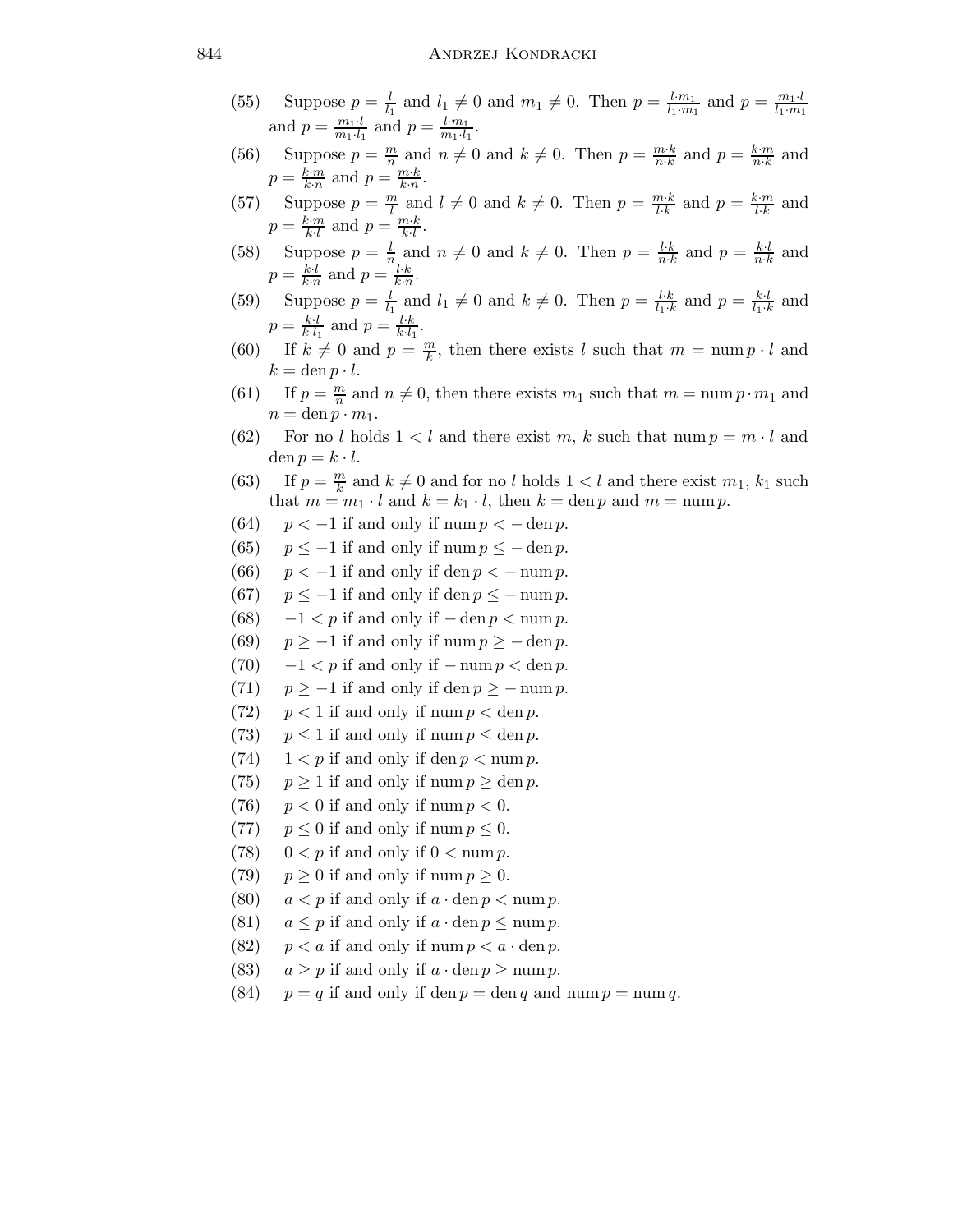## 844 ANDRZEJ KONDRACKI

- (55) Suppose  $p = \frac{l}{l_1}$  and  $l_1 \neq 0$  and  $m_1 \neq 0$ . Then  $p = \frac{l \cdot m_1}{l_1 \cdot m_1}$  $\frac{l \cdot m_1}{l_1 \cdot m_1}$  and  $p = \frac{m_1 \cdot l}{l_1 \cdot m_1}$  $l_1 \cdot m_1$ and  $p = \frac{m_1 \cdot l}{m_1 \cdot l_2}$  $\frac{m_1 \cdot l}{m_1 \cdot l_1}$  and  $p = \frac{l \cdot m_1}{m_1 \cdot l_1}$  $\frac{l \cdot m_1}{m_1 \cdot l_1}$ .
- (56) Suppose  $p = \frac{m}{n}$  $\frac{m}{n}$  and  $n \neq 0$  and  $k \neq 0$ . Then  $p = \frac{m \cdot k}{n \cdot k}$  $\frac{m \cdot k}{n \cdot k}$  and  $p = \frac{k \cdot m}{n \cdot k}$  $\frac{k \cdot m}{n \cdot k}$  and  $p = \frac{k \cdot m}{k \cdot n}$  $\frac{k \cdot m}{k \cdot n}$  and  $p = \frac{n \cdot k}{k \cdot n}$  $\frac{m \cdot \kappa}{k \cdot n}.$
- (57) Suppose  $p = \frac{m}{l}$  and  $l \neq 0$  and  $k \neq 0$ . Then  $p = \frac{m \cdot k}{l \cdot k}$  and  $p = \frac{k \cdot m}{l \cdot k}$  and  $p = \frac{k \cdot m}{k \cdot l}$  $\frac{k \cdot m}{k \cdot l}$  and  $p = \frac{m \cdot k}{k \cdot l}$  $\frac{n \cdot k}{k \cdot l}$ .
- (58) Suppose  $p = \frac{l}{n}$  $\frac{l}{n}$  and  $n \neq 0$  and  $k \neq 0$ . Then  $p = \frac{l \cdot k}{n \cdot k}$  $\frac{l \cdot k}{n \cdot k}$  and  $p = \frac{k \cdot l}{n \cdot k}$  $\frac{k \cdot l}{n \cdot k}$  and  $p = \frac{k \cdot l}{k \cdot n}$  $\frac{k \cdot l}{k \cdot n}$  and  $p = \frac{l \cdot k}{k \cdot n}$  $\frac{l \cdot \kappa}{k \cdot n}$ .
- (59) Suppose  $p = \frac{l}{l_1}$  $\frac{l}{l_1}$  and  $l_1 \neq 0$  and  $k \neq 0$ . Then  $p = \frac{l \cdot k}{l_1 \cdot k}$  $\frac{l \cdot k}{l_1 \cdot k}$  and  $p = \frac{k \cdot l}{l_1 \cdot k}$  $\frac{k \cdot l}{l_1 \cdot k}$  and  $p = \frac{k \cdot l}{k \cdot l}$  $\frac{k\cdot l}{k\cdot l_1}$  and  $p=\frac{l\cdot k}{k\cdot l_1}$  $\frac{l \cdot k}{k \cdot l_1}$ .
- (60) If  $k \neq 0$  and  $p = \frac{m}{k}$  $\frac{m}{k}$ , then there exists l such that  $m = \text{num } p \cdot l$  and  $k = \text{den } p \cdot l.$
- (61) If  $p = \frac{m}{n}$  $\frac{m}{n}$  and  $n \neq 0$ , then there exists  $m_1$  such that  $m = \text{num } p \cdot m_1$  and  $n = \text{den } p \cdot m_1.$
- (62) For no l holds  $1 < l$  and there exist m, k such that num  $p = m \cdot l$  and den  $p = k \cdot l$ .
- (63) If  $p = \frac{m}{k}$  $\frac{m}{k}$  and  $k \neq 0$  and for no l holds  $1 < l$  and there exist  $m_1$ ,  $k_1$  such that  $m = m_1 \cdot l$  and  $k = k_1 \cdot l$ , then  $k = \text{den } p$  and  $m = \text{num } p$ .
- (64)  $p < -1$  if and only if num  $p < -$  den p.
- (65)  $p \leq -1$  if and only if num  $p \leq -$  den p.
- (66)  $p < -1$  if and only if den  $p < -$  num p.
- (67)  $p \leq -1$  if and only if den  $p \leq -$  num p.
- (68)  $-1 < p$  if and only if  $-\text{den } p < \text{num } p$ .
- (69)  $p \ge -1$  if and only if num  $p \ge -$  den p.
- (70)  $-1 < p$  if and only if  $-\text{num } p < \text{den } p$ .
- (71)  $p \ge -1$  if and only if den  $p \ge -\text{num } p$ .
- (72)  $p < 1$  if and only if num  $p < \text{den } p$ .
- (73)  $p \le 1$  if and only if num  $p \le \text{den } p$ .
- (74)  $1 < p$  if and only if den  $p < \text{num } p$ .
- (75)  $p \ge 1$  if and only if num  $p \ge \text{den } p$ .
- (76)  $p < 0$  if and only if num  $p < 0$ .
- (77)  $p \le 0$  if and only if num  $p \le 0$ .
- (78)  $0 < p$  if and only if  $0 < \text{num } p$ .
- (79)  $p \ge 0$  if and only if num  $p \ge 0$ .
- (80)  $a < p$  if and only if  $a \cdot \text{den } p < \text{num } p$ .
- (81)  $a \leq p$  if and only if  $a \cdot \text{den } p \leq \text{num } p$ .
- (82)  $p < a$  if and only if num  $p < a \cdot \text{den } p$ .
- (83)  $a \geq p$  if and only if  $a \cdot \text{den } p \geq \text{num } p$ .
- (84)  $p = q$  if and only if den  $p = \text{den } q$  and num  $p = \text{num } q$ .